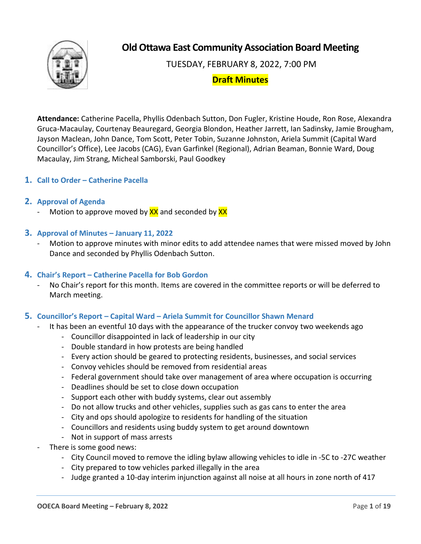

**Old Ottawa East Community Association Board Meeting**

TUESDAY, FEBRUARY 8, 2022, 7:00 PM

# **Draft Minutes**

**Attendance:** Catherine Pacella, Phyllis Odenbach Sutton, Don Fugler, Kristine Houde, Ron Rose, Alexandra Gruca-Macaulay, Courtenay Beauregard, Georgia Blondon, Heather Jarrett, Ian Sadinsky, Jamie Brougham, Jayson Maclean, John Dance, Tom Scott, Peter Tobin, Suzanne Johnston, Ariela Summit (Capital Ward Councillor's Office), Lee Jacobs (CAG), Evan Garfinkel (Regional), Adrian Beaman, Bonnie Ward, Doug Macaulay, Jim Strang, Micheal Samborski, Paul Goodkey

# **1. Call to Order – Catherine Pacella**

## **2. Approval of Agenda**

Motion to approve moved by  $\frac{XX}{XX}$  and seconded by  $\frac{XX}{XX}$ 

## **3. Approval of Minutes – January 11, 2022**

Motion to approve minutes with minor edits to add attendee names that were missed moved by John Dance and seconded by Phyllis Odenbach Sutton.

## **4. Chair's Report – Catherine Pacella for Bob Gordon**

No Chair's report for this month. Items are covered in the committee reports or will be deferred to March meeting.

## **5. Councillor's Report – Capital Ward – Ariela Summit for Councillor Shawn Menard**

- It has been an eventful 10 days with the appearance of the trucker convoy two weekends ago
	- Councillor disappointed in lack of leadership in our city
	- Double standard in how protests are being handled
	- Every action should be geared to protecting residents, businesses, and social services
	- Convoy vehicles should be removed from residential areas
	- Federal government should take over management of area where occupation is occurring
	- Deadlines should be set to close down occupation
	- Support each other with buddy systems, clear out assembly
	- Do not allow trucks and other vehicles, supplies such as gas cans to enter the area
	- City and ops should apologize to residents for handling of the situation
	- Councillors and residents using buddy system to get around downtown
	- Not in support of mass arrests
- There is some good news:
	- City Council moved to remove the idling bylaw allowing vehicles to idle in -5C to -27C weather
	- City prepared to tow vehicles parked illegally in the area
	- Judge granted a 10-day interim injunction against all noise at all hours in zone north of 417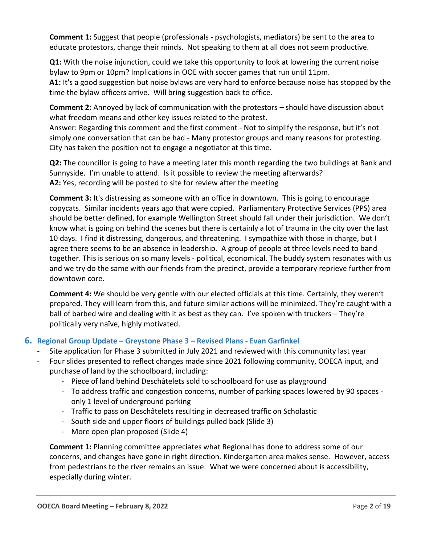**Comment 1:** Suggest that people (professionals - psychologists, mediators) be sent to the area to educate protestors, change their minds. Not speaking to them at all does not seem productive.

**Q1:** With the noise injunction, could we take this opportunity to look at lowering the current noise bylaw to 9pm or 10pm? Implications in OOE with soccer games that run until 11pm.

**A1:** It's a good suggestion but noise bylaws are very hard to enforce because noise has stopped by the time the bylaw officers arrive. Will bring suggestion back to office.

**Comment 2:** Annoyed by lack of communication with the protestors – should have discussion about what freedom means and other key issues related to the protest.

Answer: Regarding this comment and the first comment - Not to simplify the response, but it's not simply one conversation that can be had - Many protestor groups and many reasons for protesting. City has taken the position not to engage a negotiator at this time.

**Q2:** The councillor is going to have a meeting later this month regarding the two buildings at Bank and Sunnyside. I'm unable to attend. Is it possible to review the meeting afterwards? **A2:** Yes, recording will be posted to site for review after the meeting

**Comment 3:** It's distressing as someone with an office in downtown. This is going to encourage copycats. Similar incidents years ago that were copied. Parliamentary Protective Services (PPS) area should be better defined, for example Wellington Street should fall under their jurisdiction. We don't know what is going on behind the scenes but there is certainly a lot of trauma in the city over the last 10 days. I find it distressing, dangerous, and threatening. I sympathize with those in charge, but I agree there seems to be an absence in leadership. A group of people at three levels need to band together. This is serious on so many levels - political, economical. The buddy system resonates with us and we try do the same with our friends from the precinct, provide a temporary reprieve further from downtown core.

**Comment 4:** We should be very gentle with our elected officials at this time. Certainly, they weren't prepared. They will learn from this, and future similar actions will be minimized. They're caught with a ball of barbed wire and dealing with it as best as they can. I've spoken with truckers – They're politically very naïve, highly motivated.

# **6. Regional Group Update – Greystone Phase 3 – Revised Plans - Evan Garfinkel**

- Site application for Phase 3 submitted in July 2021 and reviewed with this community last year
- Four slides presented to reflect changes made since 2021 following community, OOECA input, and purchase of land by the schoolboard, including:
	- Piece of land behind Deschâtelets sold to schoolboard for use as playground
	- To address traffic and congestion concerns, number of parking spaces lowered by 90 spaces only 1 level of underground parking
	- Traffic to pass on Deschâtelets resulting in decreased traffic on Scholastic
	- South side and upper floors of buildings pulled back (Slide 3)
	- More open plan proposed (Slide 4)

**Comment 1:** Planning committee appreciates what Regional has done to address some of our concerns, and changes have gone in right direction. Kindergarten area makes sense. However, access from pedestrians to the river remains an issue. What we were concerned about is accessibility, especially during winter.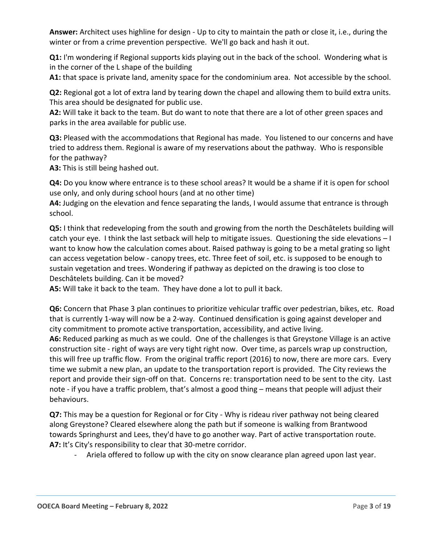**Answer:** Architect uses highline for design - Up to city to maintain the path or close it, i.e., during the winter or from a crime prevention perspective. We'll go back and hash it out.

**Q1:** I'm wondering if Regional supports kids playing out in the back of the school. Wondering what is in the corner of the L shape of the building

**A1:** that space is private land, amenity space for the condominium area. Not accessible by the school.

**Q2:** Regional got a lot of extra land by tearing down the chapel and allowing them to build extra units. This area should be designated for public use.

**A2:** Will take it back to the team. But do want to note that there are a lot of other green spaces and parks in the area available for public use.

Q3: Pleased with the accommodations that Regional has made. You listened to our concerns and have tried to address them. Regional is aware of my reservations about the pathway. Who is responsible for the pathway?

**A3:** This is still being hashed out.

**Q4:** Do you know where entrance is to these school areas? It would be a shame if it is open for school use only, and only during school hours (and at no other time)

**A4:** Judging on the elevation and fence separating the lands, I would assume that entrance is through school.

**Q5:** I think that redeveloping from the south and growing from the north the Deschâtelets building will catch your eye. I think the last setback will help to mitigate issues. Questioning the side elevations – I want to know how the calculation comes about. Raised pathway is going to be a metal grating so light can access vegetation below - canopy trees, etc. Three feet of soil, etc. is supposed to be enough to sustain vegetation and trees. Wondering if pathway as depicted on the drawing is too close to Deschâtelets building. Can it be moved?

**A5:** Will take it back to the team. They have done a lot to pull it back.

**Q6:** Concern that Phase 3 plan continues to prioritize vehicular traffic over pedestrian, bikes, etc. Road that is currently 1-way will now be a 2-way. Continued densification is going against developer and city commitment to promote active transportation, accessibility, and active living.

**A6:** Reduced parking as much as we could. One of the challenges is that Greystone Village is an active construction site - right of ways are very tight right now. Over time, as parcels wrap up construction, this will free up traffic flow. From the original traffic report (2016) to now, there are more cars. Every time we submit a new plan, an update to the transportation report is provided. The City reviews the report and provide their sign-off on that. Concerns re: transportation need to be sent to the city. Last note - if you have a traffic problem, that's almost a good thing – means that people will adjust their behaviours.

**Q7:** This may be a question for Regional or for City - Why is rideau river pathway not being cleared along Greystone? Cleared elsewhere along the path but if someone is walking from Brantwood towards Springhurst and Lees, they'd have to go another way. Part of active transportation route. **A7:** It's City's responsibility to clear that 30-metre corridor.

- Ariela offered to follow up with the city on snow clearance plan agreed upon last year.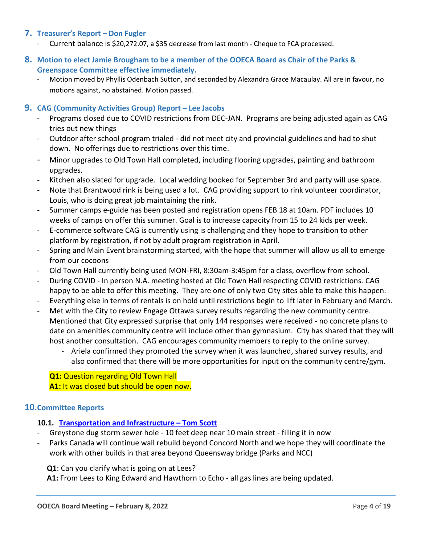# **7. Treasurer's Report – Don Fugler**

- Current balance is \$20,272.07, a \$35 decrease from last month Cheque to FCA processed.
- **8. Motion to elect Jamie Brougham to be a member of the OOECA Board as Chair of the Parks & Greenspace Committee effective immediately.**
	- Motion moved by Phyllis Odenbach Sutton, and seconded by Alexandra Grace Macaulay. All are in favour, no motions against, no abstained. Motion passed.

#### **9. CAG (Community Activities Group) Report – Lee Jacobs**

- Programs closed due to COVID restrictions from DEC-JAN. Programs are being adjusted again as CAG tries out new things
- Outdoor after school program trialed did not meet city and provincial guidelines and had to shut down. No offerings due to restrictions over this time.
- Minor upgrades to Old Town Hall completed, including flooring upgrades, painting and bathroom upgrades.
- Kitchen also slated for upgrade. Local wedding booked for September 3rd and party will use space.
- Note that Brantwood rink is being used a lot. CAG providing support to rink volunteer coordinator, Louis, who is doing great job maintaining the rink.
- Summer camps e-guide has been posted and registration opens FEB 18 at 10am. PDF includes 10 weeks of camps on offer this summer. Goal is to increase capacity from 15 to 24 kids per week.
- E-commerce software CAG is currently using is challenging and they hope to transition to other platform by registration, if not by adult program registration in April.
- Spring and Main Event brainstorming started, with the hope that summer will allow us all to emerge from our cocoons
- Old Town Hall currently being used MON-FRI, 8:30am-3:45pm for a class, overflow from school.
- During COVID In person N.A. meeting hosted at Old Town Hall respecting COVID restrictions. CAG happy to be able to offer this meeting. They are one of only two City sites able to make this happen.
- Everything else in terms of rentals is on hold until restrictions begin to lift later in February and March.
- Met with the City to review Engage Ottawa survey results regarding the new community centre. Mentioned that City expressed surprise that only 144 responses were received - no concrete plans to date on amenities community centre will include other than gymnasium. City has shared that they will host another consultation. CAG encourages community members to reply to the online survey.
	- Ariela confirmed they promoted the survey when it was launched, shared survey results, and also confirmed that there will be more opportunities for input on the community centre/gym.

**Q1: Question regarding Old Town Hall A1:** It was closed but should be open now.

## **10.Committee Reports**

## **10.1. Transportation [and Infrastructure](#page-7-0) – Tom Scott**

- Greystone dug storm sewer hole 10 feet deep near 10 main street filling it in now
- Parks Canada will continue wall rebuild beyond Concord North and we hope they will coordinate the work with other builds in that area beyond Queensway bridge (Parks and NCC)

**Q1**: Can you clarify what is going on at Lees?

**A1:** From Lees to King Edward and Hawthorn to Echo - all gas lines are being updated.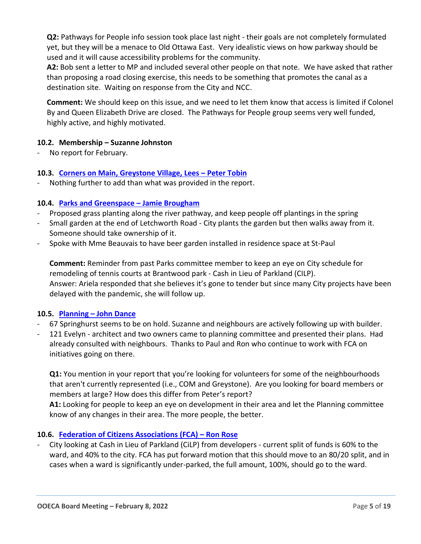**Q2:** Pathways for People info session took place last night - their goals are not completely formulated yet, but they will be a menace to Old Ottawa East. Very idealistic views on how parkway should be used and it will cause accessibility problems for the community.

**A2:** Bob sent a letter to MP and included several other people on that note. We have asked that rather than proposing a road closing exercise, this needs to be something that promotes the canal as a destination site. Waiting on response from the City and NCC.

**Comment:** We should keep on this issue, and we need to let them know that access is limited if Colonel By and Queen Elizabeth Drive are closed. The Pathways for People group seems very well funded, highly active, and highly motivated.

## **10.2. Membership – Suzanne Johnston**

No report for February.

## **10.3. [Corners on Main, Greystone Village, Lees](#page-8-0) – Peter Tobin**

Nothing further to add than what was provided in the report.

#### **10.4. [Parks and Greenspace](#page-8-1) – Jamie Brougham**

- Proposed grass planting along the river pathway, and keep people off plantings in the spring
- Small garden at the end of Letchworth Road City plants the garden but then walks away from it. Someone should take ownership of it.
- Spoke with Mme Beauvais to have beer garden installed in residence space at St-Paul

**Comment:** Reminder from past Parks committee member to keep an eye on City schedule for remodeling of tennis courts at Brantwood park - Cash in Lieu of Parkland (CILP). Answer: Ariela responded that she believes it's gone to tender but since many City projects have been delayed with the pandemic, she will follow up.

## **10.5. Planning – John Dance**

- 67 Springhurst seems to be on hold. Suzanne and neighbours are actively following up with builder.
- 121 Evelyn architect and two owners came to planning committee and presented their plans. Had already consulted with neighbours. Thanks to Paul and Ron who continue to work with FCA on initiatives going on there.

**Q1:** You mention in your report that you're looking for volunteers for some of the neighbourhoods that aren't currently represented (i.e., COM and Greystone). Are you looking for board members or members at large? How does this differ from Peter's report?

**A1:** Looking for people to keep an eye on development in their area and let the Planning committee know of any changes in their area. The more people, the better.

## **10.6. Federation of Citizens Associations (FCA) – Ron Rose**

City looking at Cash in Lieu of Parkland (CiLP) from developers - current split of funds is 60% to the ward, and 40% to the city. FCA has put forward motion that this should move to an 80/20 split, and in cases when a ward is significantly under-parked, the full amount, 100%, should go to the ward.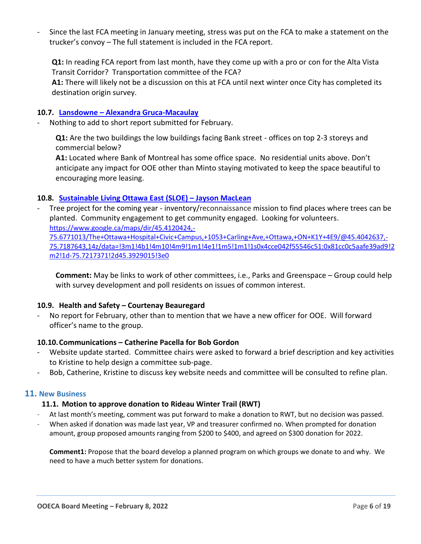Since the last FCA meeting in January meeting, stress was put on the FCA to make a statement on the trucker's convoy – The full statement is included in the FCA report.

**Q1:** In reading FCA report from last month, have they come up with a pro or con for the Alta Vista Transit Corridor? Transportation committee of the FCA?

**A1:** There will likely not be a discussion on this at FCA until next winter once City has completed its destination origin survey.

#### **10.7. Lansdowne – [Alexandra Gruca-Macaulay](#page-17-0)**

Nothing to add to short report submitted for February.

**Q1:** Are the two buildings the low buildings facing Bank street - offices on top 2-3 storeys and commercial below?

**A1:** Located where Bank of Montreal has some office space. No residential units above. Don't anticipate any impact for OOE other than Minto staying motivated to keep the space beautiful to encouraging more leasing.

#### **10.8. [Sustainable Living Ottawa East \(SLOE\)](#page-18-0) – Jayson MacLean**

Tree project for the coming year - inventory/reconnaissance mission to find places where trees can be planted. Community engagement to get community engaged. Looking for volunteers. [https://www.google.ca/maps/dir/45.4120424,-](https://www.google.ca/maps/dir/45.4120424,-75.6771013/The+Ottawa+Hospital+Civic+Campus,+1053+Carling+Ave,+Ottawa,+ON+K1Y+4E9/@45.4042637,-75.7187643,14z/data=!3m1!4b1!4m10!4m9!1m1!4e1!1m5!1m1!1s0x4cce042f55546c51:0x81cc0c5aafe39ad9!2m2!1d-75.7217371!2d45.3929015!3e0)

[75.6771013/The+Ottawa+Hospital+Civic+Campus,+1053+Carling+Ave,+Ottawa,+ON+K1Y+4E9/@45.4042637,-](https://www.google.ca/maps/dir/45.4120424,-75.6771013/The+Ottawa+Hospital+Civic+Campus,+1053+Carling+Ave,+Ottawa,+ON+K1Y+4E9/@45.4042637,-75.7187643,14z/data=!3m1!4b1!4m10!4m9!1m1!4e1!1m5!1m1!1s0x4cce042f55546c51:0x81cc0c5aafe39ad9!2m2!1d-75.7217371!2d45.3929015!3e0) [75.7187643,14z/data=!3m1!4b1!4m10!4m9!1m1!4e1!1m5!1m1!1s0x4cce042f55546c51:0x81cc0c5aafe39ad9!2](https://www.google.ca/maps/dir/45.4120424,-75.6771013/The+Ottawa+Hospital+Civic+Campus,+1053+Carling+Ave,+Ottawa,+ON+K1Y+4E9/@45.4042637,-75.7187643,14z/data=!3m1!4b1!4m10!4m9!1m1!4e1!1m5!1m1!1s0x4cce042f55546c51:0x81cc0c5aafe39ad9!2m2!1d-75.7217371!2d45.3929015!3e0) [m2!1d-75.7217371!2d45.3929015!3e0](https://www.google.ca/maps/dir/45.4120424,-75.6771013/The+Ottawa+Hospital+Civic+Campus,+1053+Carling+Ave,+Ottawa,+ON+K1Y+4E9/@45.4042637,-75.7187643,14z/data=!3m1!4b1!4m10!4m9!1m1!4e1!1m5!1m1!1s0x4cce042f55546c51:0x81cc0c5aafe39ad9!2m2!1d-75.7217371!2d45.3929015!3e0)

**Comment:** May be links to work of other committees, i.e., Parks and Greenspace – Group could help with survey development and poll residents on issues of common interest.

#### **10.9. Health and Safety – Courtenay Beauregard**

No report for February, other than to mention that we have a new officer for OOE. Will forward officer's name to the group.

## **10.10.Communications – Catherine Pacella for Bob Gordon**

- Website update started. Committee chairs were asked to forward a brief description and key activities to Kristine to help design a committee sub-page.
- Bob, Catherine, Kristine to discuss key website needs and committee will be consulted to refine plan.

#### **11. New Business**

#### **11.1. Motion to approve donation to Rideau Winter Trail (RWT)**

- At last month's meeting, comment was put forward to make a donation to RWT, but no decision was passed.
- When asked if donation was made last year, VP and treasurer confirmed no. When prompted for donation amount, group proposed amounts ranging from \$200 to \$400, and agreed on \$300 donation for 2022.

**Comment1:** Propose that the board develop a planned program on which groups we donate to and why. We need to have a much better system for donations.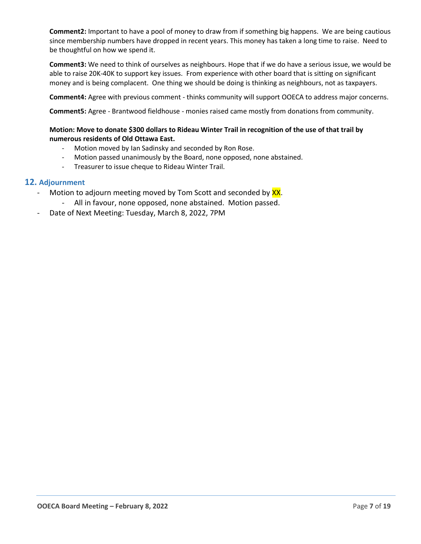**Comment2:** Important to have a pool of money to draw from if something big happens. We are being cautious since membership numbers have dropped in recent years. This money has taken a long time to raise. Need to be thoughtful on how we spend it.

**Comment3:** We need to think of ourselves as neighbours. Hope that if we do have a serious issue, we would be able to raise 20K-40K to support key issues. From experience with other board that is sitting on significant money and is being complacent. One thing we should be doing is thinking as neighbours, not as taxpayers.

**Comment4:** Agree with previous comment - thinks community will support OOECA to address major concerns.

**Comment5:** Agree - Brantwood fieldhouse - monies raised came mostly from donations from community.

#### **Motion: Move to donate \$300 dollars to Rideau Winter Trail in recognition of the use of that trail by numerous residents of Old Ottawa East.**

- Motion moved by Ian Sadinsky and seconded by Ron Rose.
- Motion passed unanimously by the Board, none opposed, none abstained.
- Treasurer to issue cheque to Rideau Winter Trail.

#### **12. Adjournment**

- Motion to adjourn meeting moved by Tom Scott and seconded by XX.
	- All in favour, none opposed, none abstained. Motion passed.
- Date of Next Meeting: Tuesday, March 8, 2022, 7PM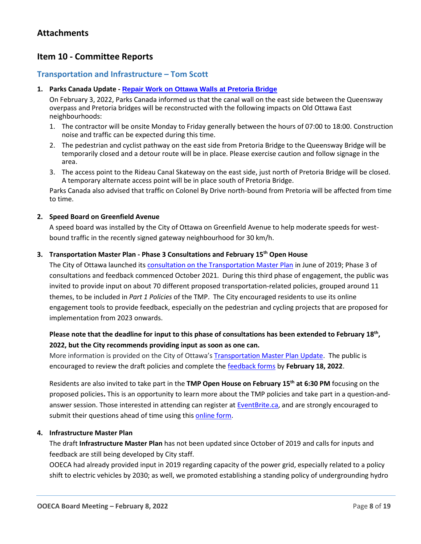# **Item 10 - Committee Reports**

# <span id="page-7-0"></span>**Transportation and Infrastructure – Tom Scott**

#### **1. Parks Canada Update - Repair Work on Ottawa Walls at Pretoria Bridge**

On February 3, 2022, Parks Canada informed us that the canal wall on the east side between the Queensway overpass and Pretoria bridges will be reconstructed with the following impacts on Old Ottawa East neighbourhoods:

- 1. The contractor will be onsite Monday to Friday generally between the hours of 07:00 to 18:00. Construction noise and traffic can be expected during this time.
- 2. The pedestrian and cyclist pathway on the east side from Pretoria Bridge to the Queensway Bridge will be temporarily closed and a detour route will be in place. Please exercise caution and follow signage in the area.
- 3. The access point to the Rideau Canal Skateway on the east side, just north of Pretoria Bridge will be closed. A temporary alternate access point will be in place south of Pretoria Bridge.

Parks Canada also advised that traffic on Colonel By Drive north-bound from Pretoria will be affected from time to time.

#### **2. Speed Board on Greenfield Avenue**

A speed board was installed by the City of Ottawa on Greenfield Avenue to help moderate speeds for westbound traffic in the recently signed gateway neighbourhood for 30 km/h.

#### **3. Transportation Master Plan - Phase 3 Consultations and February 15th Open House**

The City of Ottawa launched its [consultation on the Transportation Master Plan](https://engage.ottawa.ca/transportation-master-plan) in June of 2019; Phase 3 of consultations and feedback commenced October 2021. During this third phase of engagement, the public was invited to provide input on about 70 different proposed transportation-related policies, grouped around 11 themes, to be included in *Part 1 Policies* of the TMP. The City encouraged residents to use its online engagement tools to provide feedback, especially on the pedestrian and cycling projects that are proposed for implementation from 2023 onwards.

## **Please note that the deadline for input to this phase of consultations has been extended to February 18th , 2022, but the City recommends providing input as soon as one can.**

More information is provided on the City of Ottawa's [Transportation Master Plan Update.](https://engage.ottawa.ca/transportation-master-plan) The public is encouraged to review the draft policies and complete the [feedback forms](https://engage.ottawa.ca/transportation-master-plan/news_feed/tmp-one-pagers) by **February 18, 2022**.

Residents are also invited to take part in the **TMP Open House on February 15th at 6:30 PM** focusing on the proposed policies**.** This is an opportunity to learn more about the TMP policies and take part in a question-andanswer session. Those interested in attending can register at [EventBrite.ca,](https://www.eventbrite.ca/e/tmp-open-housepdt-seance-portes-ouverte-tickets-252006778057) and are strongly encouraged to submit their questions ahead of time using this [online form.](https://s-ca.chkmkt.com/?e=257370&h=114D24DA8842950&l=en)

#### **4. Infrastructure Master Plan**

The draft **Infrastructure Master Plan** has not been updated since October of 2019 and calls for inputs and feedback are still being developed by City staff.

OOECA had already provided input in 2019 regarding capacity of the power grid, especially related to a policy shift to electric vehicles by 2030; as well, we promoted establishing a standing policy of undergrounding hydro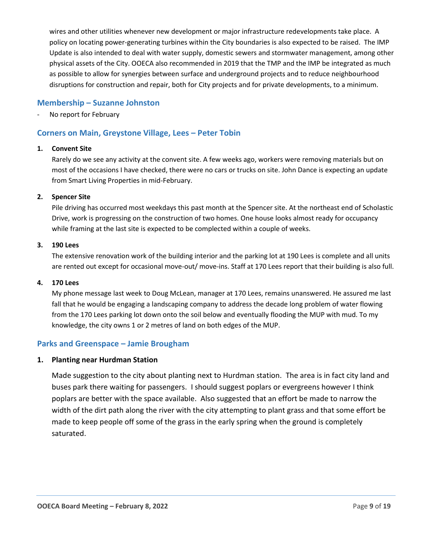wires and other utilities whenever new development or major infrastructure redevelopments take place. A policy on locating power-generating turbines within the City boundaries is also expected to be raised. The IMP Update is also intended to deal with water supply, domestic sewers and stormwater management, among other physical assets of the City. OOECA also recommended in 2019 that the TMP and the IMP be integrated as much as possible to allow for synergies between surface and underground projects and to reduce neighbourhood disruptions for construction and repair, both for City projects and for private developments, to a minimum.

## **Membership – Suzanne Johnston**

No report for February

## <span id="page-8-0"></span>**Corners on Main, Greystone Village, Lees – Peter Tobin**

#### **1. Convent Site**

Rarely do we see any activity at the convent site. A few weeks ago, workers were removing materials but on most of the occasions I have checked, there were no cars or trucks on site. John Dance is expecting an update from Smart Living Properties in mid-February.

#### **2. Spencer Site**

Pile driving has occurred most weekdays this past month at the Spencer site. At the northeast end of Scholastic Drive, work is progressing on the construction of two homes. One house looks almost ready for occupancy while framing at the last site is expected to be complected within a couple of weeks.

#### **3. 190 Lees**

The extensive renovation work of the building interior and the parking lot at 190 Lees is complete and all units are rented out except for occasional move-out/ move-ins. Staff at 170 Lees report that their building is also full.

#### **4. 170 Lees**

My phone message last week to Doug McLean, manager at 170 Lees, remains unanswered. He assured me last fall that he would be engaging a landscaping company to address the decade long problem of water flowing from the 170 Lees parking lot down onto the soil below and eventually flooding the MUP with mud. To my knowledge, the city owns 1 or 2 metres of land on both edges of the MUP.

## <span id="page-8-1"></span>**Parks and Greenspace – Jamie Brougham**

#### **1. Planting near Hurdman Station**

Made suggestion to the city about planting next to Hurdman station. The area is in fact city land and buses park there waiting for passengers. I should suggest poplars or evergreens however I think poplars are better with the space available. Also suggested that an effort be made to narrow the width of the dirt path along the river with the city attempting to plant grass and that some effort be made to keep people off some of the grass in the early spring when the ground is completely saturated.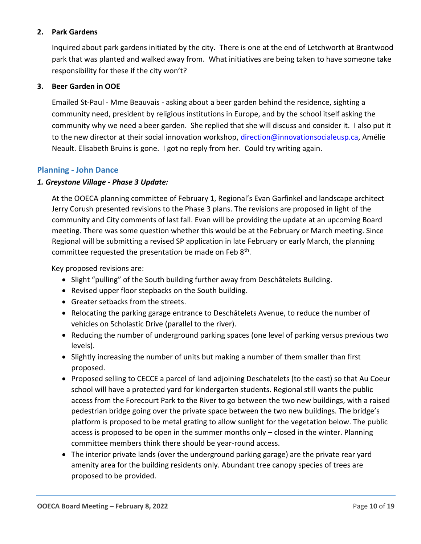## **2. Park Gardens**

Inquired about park gardens initiated by the city. There is one at the end of Letchworth at Brantwood park that was planted and walked away from. What initiatives are being taken to have someone take responsibility for these if the city won't?

## **3. Beer Garden in OOE**

Emailed St-Paul - Mme Beauvais - asking about a beer garden behind the residence, sighting a community need, president by religious institutions in Europe, and by the school itself asking the community why we need a beer garden. She replied that she will discuss and consider it. I also put it to the new director at their social innovation workshop, [direction@innovationsocialeusp.ca,](mailto:direction@innovationsocialeusp.ca) Amélie Neault. Elisabeth Bruins is gone. I got no reply from her. Could try writing again.

# **Planning - John Dance**

## *1. Greystone Village - Phase 3 Update:*

At the OOECA planning committee of February 1, Regional's Evan Garfinkel and landscape architect Jerry Corush presented revisions to the Phase 3 plans. The revisions are proposed in light of the community and City comments of last fall. Evan will be providing the update at an upcoming Board meeting. There was some question whether this would be at the February or March meeting. Since Regional will be submitting a revised SP application in late February or early March, the planning committee requested the presentation be made on Feb  $8<sup>th</sup>$ .

Key proposed revisions are:

- Slight "pulling" of the South building further away from Deschâtelets Building.
- Revised upper floor stepbacks on the South building.
- Greater setbacks from the streets.
- Relocating the parking garage entrance to Deschâtelets Avenue, to reduce the number of vehicles on Scholastic Drive (parallel to the river).
- Reducing the number of underground parking spaces (one level of parking versus previous two levels).
- Slightly increasing the number of units but making a number of them smaller than first proposed.
- Proposed selling to CECCE a parcel of land adjoining Deschatelets (to the east) so that Au Coeur school will have a protected yard for kindergarten students. Regional still wants the public access from the Forecourt Park to the River to go between the two new buildings, with a raised pedestrian bridge going over the private space between the two new buildings. The bridge's platform is proposed to be metal grating to allow sunlight for the vegetation below. The public access is proposed to be open in the summer months only – closed in the winter. Planning committee members think there should be year-round access.
- The interior private lands (over the underground parking garage) are the private rear yard amenity area for the building residents only. Abundant tree canopy species of trees are proposed to be provided.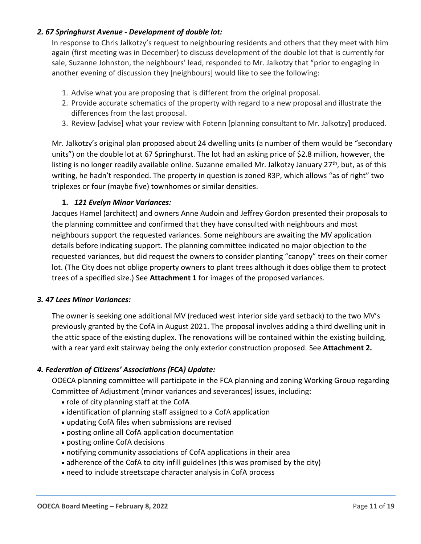# *2. 67 Springhurst Avenue - Development of double lot:*

In response to Chris Jalkotzy's request to neighbouring residents and others that they meet with him again (first meeting was in December) to discuss development of the double lot that is currently for sale, Suzanne Johnston, the neighbours' lead, responded to Mr. Jalkotzy that "prior to engaging in another evening of discussion they [neighbours] would like to see the following:

- 1. Advise what you are proposing that is different from the original proposal.
- 2. Provide accurate schematics of the property with regard to a new proposal and illustrate the differences from the last proposal.
- 3. Review [advise] what your review with Fotenn [planning consultant to Mr. Jalkotzy] produced.

Mr. Jalkotzy's original plan proposed about 24 dwelling units (a number of them would be "secondary units") on the double lot at 67 Springhurst. The lot had an asking price of \$2.8 million, however, the listing is no longer readily available online. Suzanne emailed Mr. Jalkotzy January 27<sup>th</sup>, but, as of this writing, he hadn't responded. The property in question is zoned R3P, which allows "as of right" two triplexes or four (maybe five) townhomes or similar densities.

## **1.** *121 Evelyn Minor Variances:*

Jacques Hamel (architect) and owners Anne Audoin and Jeffrey Gordon presented their proposals to the planning committee and confirmed that they have consulted with neighbours and most neighbours support the requested variances. Some neighbours are awaiting the MV application details before indicating support. The planning committee indicated no major objection to the requested variances, but did request the owners to consider planting "canopy" trees on their corner lot. (The City does not oblige property owners to plant trees although it does oblige them to protect trees of a specified size.) See **Attachment 1** for images of the proposed variances.

## *3. 47 Lees Minor Variances:*

The owner is seeking one additional MV (reduced west interior side yard setback) to the two MV's previously granted by the CofA in August 2021. The proposal involves adding a third dwelling unit in the attic space of the existing duplex. The renovations will be contained within the existing building, with a rear yard exit stairway being the only exterior construction proposed. See **Attachment 2.**

## *4. Federation of Citizens' Associations (FCA) Update:*

OOECA planning committee will participate in the FCA planning and zoning Working Group regarding Committee of Adjustment (minor variances and severances) issues, including:

- role of city planning staff at the CofA
- identification of planning staff assigned to a CofA application
- updating CofA files when submissions are revised
- posting online all CofA application documentation
- posting online CofA decisions
- notifying community associations of CofA applications in their area
- adherence of the CofA to city infill guidelines (this was promised by the city)
- need to include streetscape character analysis in CofA process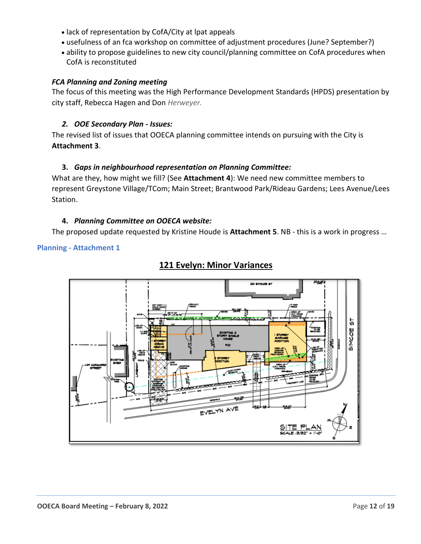- lack of representation by CofA/City at lpat appeals
- usefulness of an fca workshop on committee of adjustment procedures (June? September?)
- ability to propose guidelines to new city council/planning committee on CofA procedures when CofA is reconstituted

## *FCA Planning and Zoning meeting*

The focus of this meeting was the High Performance Development Standards (HPDS) presentation by city staff, Rebecca Hagen and Don *Herweyer.*

## *2. OOE Secondary Plan - Issues:*

The revised list of issues that OOECA planning committee intends on pursuing with the City is **Attachment 3**.

## **3.** *Gaps in neighbourhood representation on Planning Committee:*

What are they, how might we fill? (See **Attachment 4**): We need new committee members to represent Greystone Village/TCom; Main Street; Brantwood Park/Rideau Gardens; Lees Avenue/Lees Station.

## **4.** *Planning Committee on OOECA website:*

The proposed update requested by Kristine Houde is **Attachment 5**. NB - this is a work in progress …

## **Planning - Attachment 1**



# **121 Evelyn: Minor Variances**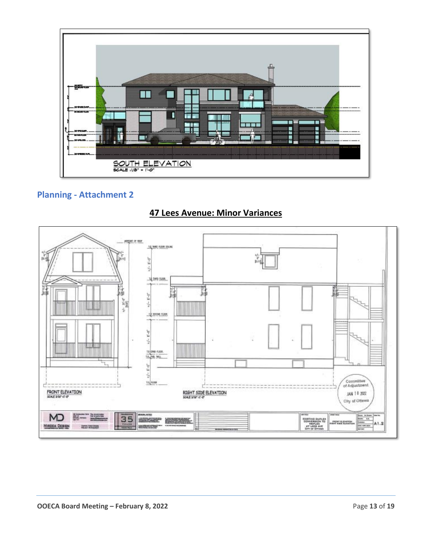

# **Planning - Attachment 2**



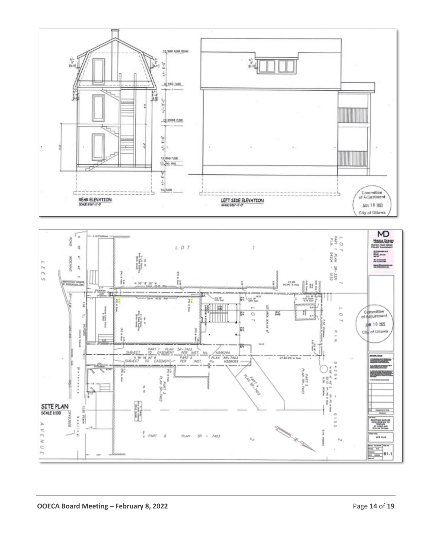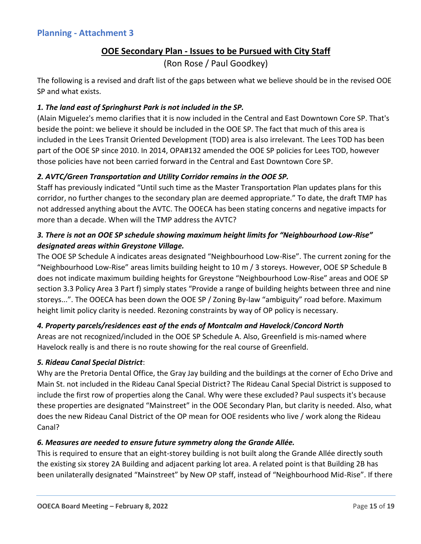# **OOE Secondary Plan - Issues to be Pursued with City Staff**

(Ron Rose / Paul Goodkey)

The following is a revised and draft list of the gaps between what we believe should be in the revised OOE SP and what exists.

# *1. The land east of Springhurst Park is not included in the SP.*

(Alain Miguelez's memo clarifies that it is now included in the Central and East Downtown Core SP. That's beside the point: we believe it should be included in the OOE SP. The fact that much of this area is included in the Lees Transit Oriented Development (TOD) area is also irrelevant. The Lees TOD has been part of the OOE SP since 2010. In 2014, OPA#132 amended the OOE SP policies for Lees TOD, however those policies have not been carried forward in the Central and East Downtown Core SP.

## *2. AVTC/Green Transportation and Utility Corridor remains in the OOE SP.*

Staff has previously indicated "Until such time as the Master Transportation Plan updates plans for this corridor, no further changes to the secondary plan are deemed appropriate." To date, the draft TMP has not addressed anything about the AVTC. The OOECA has been stating concerns and negative impacts for more than a decade. When will the TMP address the AVTC?

# *3. There is not an OOE SP schedule showing maximum height limits for "Neighbourhood Low-Rise" designated areas within Greystone Village.*

The OOE SP Schedule A indicates areas designated "Neighbourhood Low-Rise". The current zoning for the "Neighbourhood Low-Rise" areas limits building height to 10 m / 3 storeys. However, OOE SP Schedule B does not indicate maximum building heights for Greystone "Neighbourhood Low-Rise" areas and OOE SP section 3.3 Policy Area 3 Part f) simply states "Provide a range of building heights between three and nine storeys...". The OOECA has been down the OOE SP / Zoning By-law "ambiguity" road before. Maximum height limit policy clarity is needed. Rezoning constraints by way of OP policy is necessary.

# *4. Property parcels/residences east of the ends of Montcalm and Havelock*/*Concord North*

Areas are not recognized/included in the OOE SP Schedule A. Also, Greenfield is mis-named where Havelock really is and there is no route showing for the real course of Greenfield.

## *5. Rideau Canal Special District*:

Why are the Pretoria Dental Office, the Gray Jay building and the buildings at the corner of Echo Drive and Main St. not included in the Rideau Canal Special District? The Rideau Canal Special District is supposed to include the first row of properties along the Canal. Why were these excluded? Paul suspects it's because these properties are designated "Mainstreet" in the OOE Secondary Plan, but clarity is needed. Also, what does the new Rideau Canal District of the OP mean for OOE residents who live / work along the Rideau Canal?

## *6. Measures are needed to ensure future symmetry along the Grande Allée.*

This is required to ensure that an eight-storey building is not built along the Grande Allée directly south the existing six storey 2A Building and adjacent parking lot area. A related point is that Building 2B has been unilaterally designated "Mainstreet" by New OP staff, instead of "Neighbourhood Mid-Rise". If there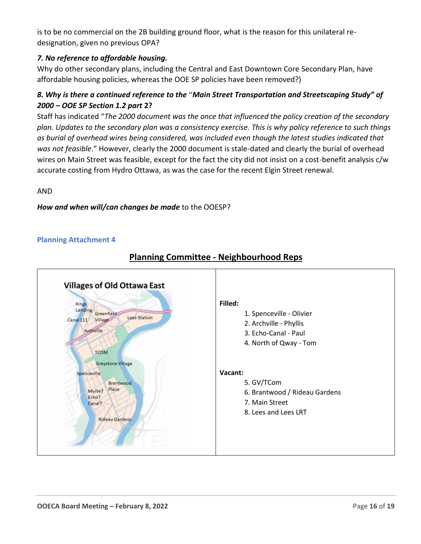is to be no commercial on the 2B building ground floor, what is the reason for this unilateral redesignation, given no previous OPA?

# *7. No reference to affordable housing.*

Why do other secondary plans, including the Central and East Downtown Core Secondary Plan, have affordable housing policies, whereas the OOE SP policies have been removed?)

# *8. Why is there a continued reference to the* "*Main Street Transportation and Streetscaping Study" of 2000 – OOE SP Section 1.2 part* **2?**

Staff has indicated "*The 2000 document was the once that influenced the policy creation of the secondary plan. Updates to the secondary plan was a consistency exercise. This is why policy reference to such things as burial of overhead wires being considered, was included even though the latest studies indicated that was not feasible*." However, clearly the 2000 document is stale-dated and clearly the burial of overhead wires on Main Street was feasible, except for the fact the city did not insist on a cost-benefit analysis c/w accurate costing from Hydro Ottawa, as was the case for the recent Elgin Street renewal.

AND

## *How and when will/can changes be made* to the OOESP?

## **Planning Attachment 4**



# **Planning Committee - Neighbourhood Reps**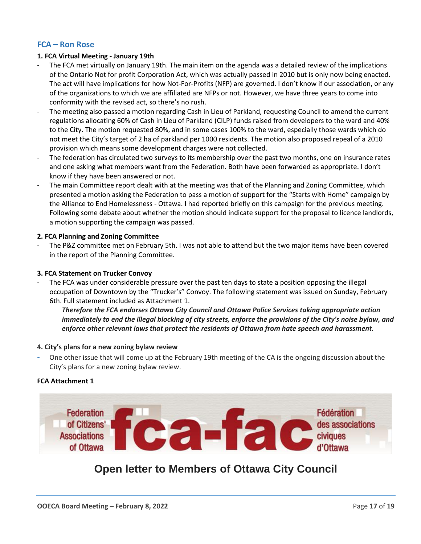# **FCA – Ron Rose**

#### **1. FCA Virtual Meeting - January 19th**

- The FCA met virtually on January 19th. The main item on the agenda was a detailed review of the implications of the Ontario Not for profit Corporation Act, which was actually passed in 2010 but is only now being enacted. The act will have implications for how Not-For-Profits (NFP) are governed. I don't know if our association, or any of the organizations to which we are affiliated are NFPs or not. However, we have three years to come into conformity with the revised act, so there's no rush.
- The meeting also passed a motion regarding Cash in Lieu of Parkland, requesting Council to amend the current regulations allocating 60% of Cash in Lieu of Parkland (CILP) funds raised from developers to the ward and 40% to the City. The motion requested 80%, and in some cases 100% to the ward, especially those wards which do not meet the City's target of 2 ha of parkland per 1000 residents. The motion also proposed repeal of a 2010 provision which means some development charges were not collected.
- The federation has circulated two surveys to its membership over the past two months, one on insurance rates and one asking what members want from the Federation. Both have been forwarded as appropriate. I don't know if they have been answered or not.
- The main Committee report dealt with at the meeting was that of the Planning and Zoning Committee, which presented a motion asking the Federation to pass a motion of support for the "Starts with Home" campaign by the Alliance to End Homelessness - Ottawa. I had reported briefly on this campaign for the previous meeting. Following some debate about whether the motion should indicate support for the proposal to licence landlords, a motion supporting the campaign was passed.

#### **2. FCA Planning and Zoning Committee**

The P&Z committee met on February 5th. I was not able to attend but the two major items have been covered in the report of the Planning Committee.

#### **3. FCA Statement on Trucker Convoy**

The FCA was under considerable pressure over the past ten days to state a position opposing the illegal occupation of Downtown by the "Trucker's" Convoy. The following statement was issued on Sunday, February 6th. Full statement included as Attachment 1.

*Therefore the FCA endorses Ottawa City Council and Ottawa Police Services taking appropriate action immediately to end the illegal blocking of city streets, enforce the provisions of the City's noise bylaw, and enforce other relevant laws that protect the residents of Ottawa from hate speech and harassment.*

#### **4. City's plans for a new zoning bylaw review**

- One other issue that will come up at the February 19th meeting of the CA is the ongoing discussion about the City's plans for a new zoning bylaw review.

#### **FCA Attachment 1**



# **Open letter to Members of Ottawa City Council**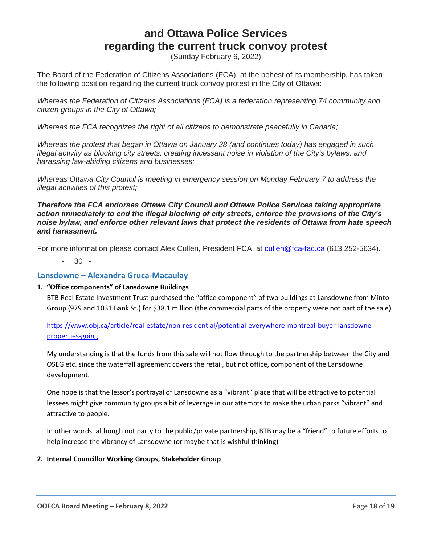# **and Ottawa Police Services regarding the current truck convoy protest**

(Sunday February 6, 2022)

The Board of the Federation of Citizens Associations (FCA), at the behest of its membership, has taken the following position regarding the current truck convoy protest in the City of Ottawa:

*Whereas the Federation of Citizens Associations (FCA) is a federation representing 74 community and citizen groups in the City of Ottawa;*

*Whereas the FCA recognizes the right of all citizens to demonstrate peacefully in Canada;*

*Whereas the protest that began in Ottawa on January 28 (and continues today) has engaged in such illegal activity as blocking city streets, creating incessant noise in violation of the City's bylaws, and harassing law-abiding citizens and businesses;*

*Whereas Ottawa City Council is meeting in emergency session on Monday February 7 to address the illegal activities of this protest;*

*Therefore the FCA endorses Ottawa City Council and Ottawa Police Services taking appropriate action immediately to end the illegal blocking of city streets, enforce the provisions of the City's noise bylaw, and enforce other relevant laws that protect the residents of Ottawa from hate speech and harassment.*

For more information please contact Alex Cullen, President FCA, at [cullen@fca-fac.ca](mailto:cullen@fca-fac.ca) (613 252-5634).

- 30 -

#### <span id="page-17-0"></span>**Lansdowne – Alexandra Gruca-Macaulay**

#### **1. "Office components" of Lansdowne Buildings**

BTB Real Estate Investment Trust purchased the "office component" of two buildings at Lansdowne from Minto Group (979 and 1031 Bank St.) for \$38.1 million (the commercial parts of the property were not part of the sale).

[https://www.obj.ca/article/real-estate/non-residential/potential-everywhere-montreal-buyer-lansdowne](https://www.obj.ca/article/real-estate/non-residential/potential-everywhere-montreal-buyer-lansdowne-properties-going)[properties-going](https://www.obj.ca/article/real-estate/non-residential/potential-everywhere-montreal-buyer-lansdowne-properties-going)

My understanding is that the funds from this sale will not flow through to the partnership between the City and OSEG etc. since the waterfall agreement covers the retail, but not office, component of the Lansdowne development.

One hope is that the lessor's portrayal of Lansdowne as a "vibrant" place that will be attractive to potential lessees might give community groups a bit of leverage in our attempts to make the urban parks "vibrant" and attractive to people.

In other words, although not party to the public/private partnership, BTB may be a "friend" to future efforts to help increase the vibrancy of Lansdowne (or maybe that is wishful thinking)

#### **2. Internal Councillor Working Groups, Stakeholder Group**